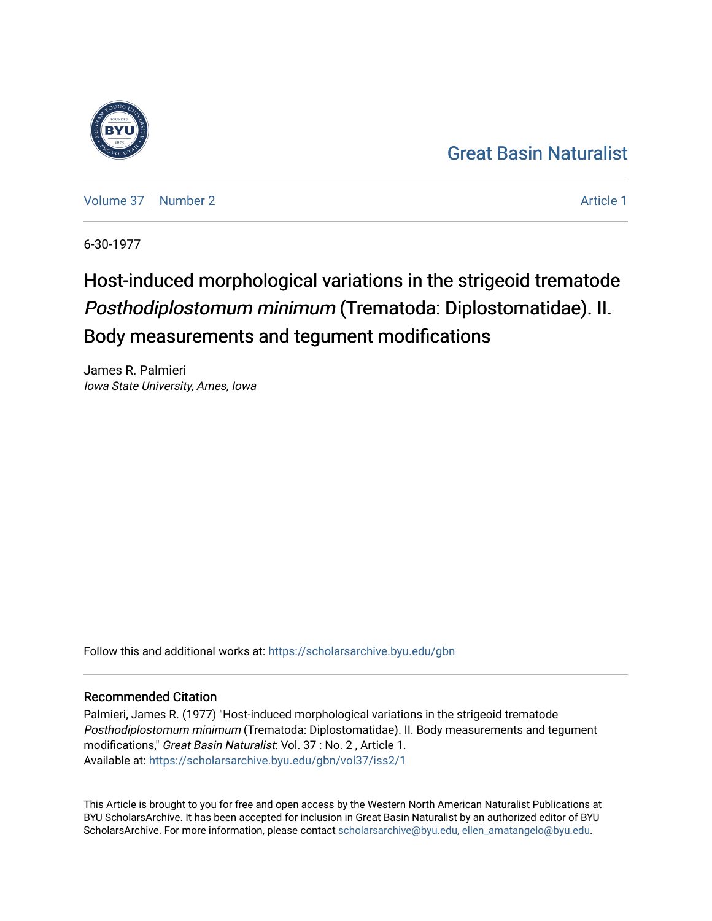## [Great Basin Naturalist](https://scholarsarchive.byu.edu/gbn)

[Volume 37](https://scholarsarchive.byu.edu/gbn/vol37) | [Number 2](https://scholarsarchive.byu.edu/gbn/vol37/iss2) Article 1

6-30-1977

## Host-induced morphological variations in the strigeoid trematode Posthodiplostomum minimum (Trematoda: Diplostomatidae). II. Body measurements and tegument modifications

James R. Palmieri Iowa State University, Ames, Iowa

Follow this and additional works at: [https://scholarsarchive.byu.edu/gbn](https://scholarsarchive.byu.edu/gbn?utm_source=scholarsarchive.byu.edu%2Fgbn%2Fvol37%2Fiss2%2F1&utm_medium=PDF&utm_campaign=PDFCoverPages) 

### Recommended Citation

Palmieri, James R. (1977) "Host-induced morphological variations in the strigeoid trematode Posthodiplostomum minimum (Trematoda: Diplostomatidae). II. Body measurements and tegument modifications," Great Basin Naturalist: Vol. 37 : No. 2 , Article 1. Available at: [https://scholarsarchive.byu.edu/gbn/vol37/iss2/1](https://scholarsarchive.byu.edu/gbn/vol37/iss2/1?utm_source=scholarsarchive.byu.edu%2Fgbn%2Fvol37%2Fiss2%2F1&utm_medium=PDF&utm_campaign=PDFCoverPages)

This Article is brought to you for free and open access by the Western North American Naturalist Publications at BYU ScholarsArchive. It has been accepted for inclusion in Great Basin Naturalist by an authorized editor of BYU ScholarsArchive. For more information, please contact [scholarsarchive@byu.edu, ellen\\_amatangelo@byu.edu.](mailto:scholarsarchive@byu.edu,%20ellen_amatangelo@byu.edu)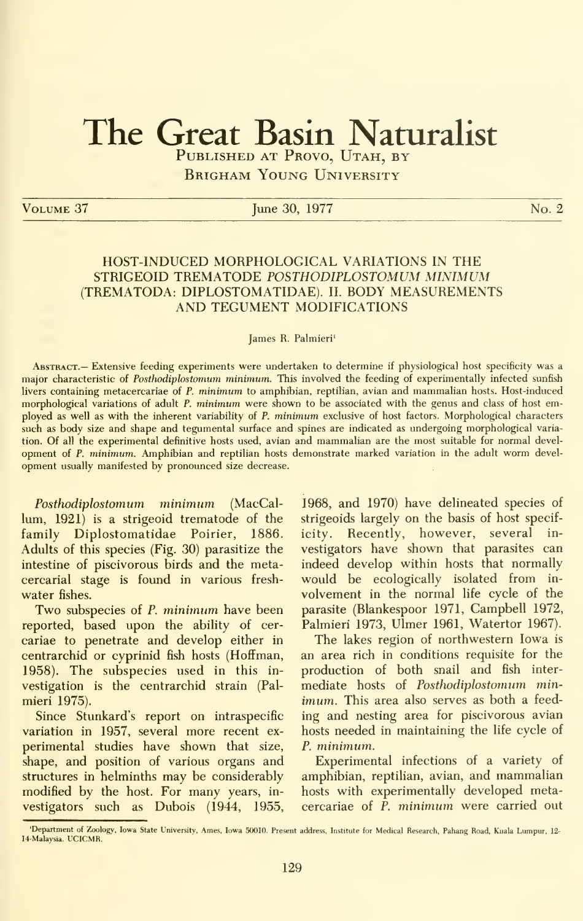# The Great Basin Naturalist Published at Provo, Utah, by

Brigham Young University

#### $\sqrt{5}$  Volume 37  $\sqrt{5}$  and  $\sqrt{5}$  and  $\sqrt{5}$  and  $\sqrt{5}$  and  $\sqrt{5}$  and  $\sqrt{5}$  and  $\sqrt{5}$  and  $\sqrt{5}$  and  $\sqrt{5}$  and  $\sqrt{5}$  and  $\sqrt{5}$  and  $\sqrt{5}$  and  $\sqrt{5}$  and  $\sqrt{5}$  and  $\sqrt{5}$  and  $\sqrt{5}$  and  $\sqrt{5}$  and

#### HOST-INDUCED MORPHOLOGICAL VARIATIONS IN THE STRIGEOID TREMATODE POSTHODIPLOSTOMUM MINIMUM (TREMATODA: DIPLOSTOMATIDAE). II. BODY MEASUREMENTS AND TEGUMENT MODIFICATIONS

#### James R. Palmieri'

Abstract.— Extensive feeding experiments were undertaken to determine if physiological host specificity was a major characteristic of Posthodiplostomum minimum. This involved the feeding of experimentally infected sunfish livers containing metacercariae of P. minimum to amphibian, reptilian, avian and mammalian hosts. Host-induced morphological variations of adult P. minimum were shown to be associated with the genus and class of host employed as well as with the inherent variability of P. minimum exclusive of host factors. Morphological characters such as body size and shape and tegumental surface and spines are indicated as undergoing morphological variation. Of all the experimental definitive hosts used, avian and mammalian are the most suitable for normal development of P. minimum. Amphibian and reptilian hosts demonstrate marked variation in the adult worm devel opment usually manifested by pronounced size decrease.

Posthodiplostomum minimum (MacCallum, 1921) is a strigeoid trematode of the family Diplostomatidae Poirier, 1886. Adults of this species (Fig. 30) parasitize the intestine of piscivorous birds and the metacercarial stage is found in various fresh water fishes.

Two subspecies of P. minimum have been reported, based upon the ability of cer cariae to penetrate and develop either in centrarchid or cyprinid fish hosts (Hoffman, 1958). The subspecies used in this in vestigation is the centrarchid strain (Pal mieri 1975).

Since Stunkard's report on intraspecific variation in 1957, several more recent ex perimental studies have shown that size, shape, and position of various organs and structures in helminths may be considerably modified by the host. For many years, in vestigators such as Dubois (1944, 1955,

1968, and 1970) have delineated species of strigeoids largely on the basis of host specificity. Recently, however, several in vestigators have shown that parasites can indeed develop within hosts that normally would be ecologically isolated from in volvement in the normal life cycle of the parasite (Blankespoor 1971, Campbell 1972, Palmieri 1973, Ulmer 1961, Watertor 1967).

The lakes region of northwestern Iowa is an area rich in conditions requisite for the production of both snail and fish inter mediate hosts of Posthodiplostomum min imum. This area also serves as both a feeding and nesting area for piscivorous avian hosts needed in maintaining the life cycle of P. minimum.

Experimental infections of a variety of amphibian, reptilian, avian, and mammalian hosts with experimentally developed metacercariae of P. minimum were carried out

<sup>&#</sup>x27;Department of Zoology, Iowa State University, Ames, Iowa 50010. Present address. Institute for Medical Research, Pahang Road, Kuala Lumpur, 12- 14-Malaysia. UCICMR.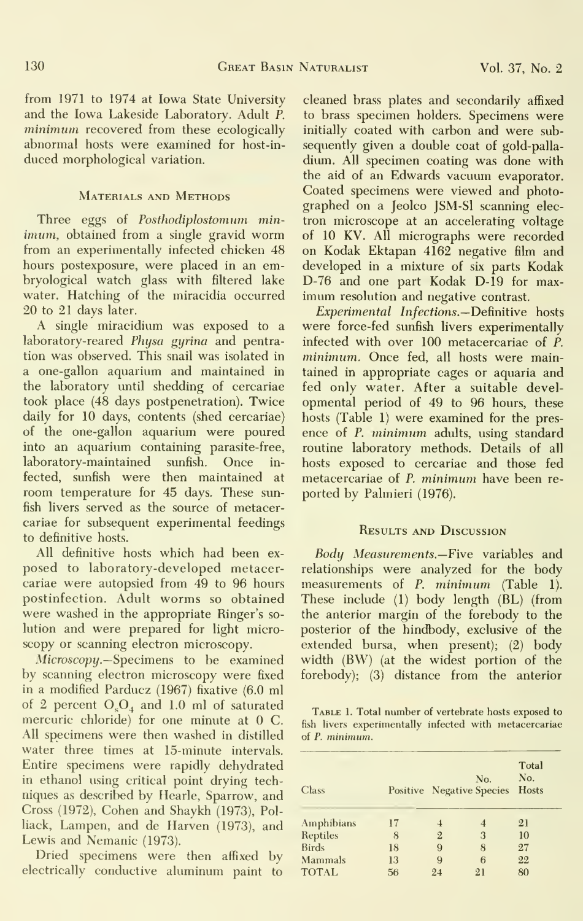from 1971 to 1974 at Iowa State University and the Iowa Lakeside Laboratory. Adult P. minimum recovered from these ecologically abnormal hosts were examined for host-in duced morphological variation.

#### Materials and Methods

Three eggs of Posthodiplostomum min imum, obtained from <sup>a</sup> single gravid worm from an experimentally infected chicken 48 hours postexposure, were placed in an embryological watch glass with filtered lake water. Hatching of the miracidia occurred 20 to 21 days later.

A single miracidium was exposed to <sup>a</sup> laboratory-reared Physa gyrina and pentration was observed. This snail was isolated in a one-gallon aquarium and maintained in the laboratory until shedding of cercariae took place (48 days postpenetration). Twice daily for 10 days, contents (shed cercariae) of the one-gallon aquarium were poured into an aquarium containing parasite-free, laboratory-maintained sunfish. Once infected, sunfish were then maintained at room temperature for 45 days. These sunfish livers served as the source of metacercariae for subsequent experimental feedings to definitive hosts.

All definitive hosts which had been ex posed to laboratory-developed metacercariae were autopsied from 49 to 96 hours postinfection. Adult worms so obtained were washed in the appropriate Ringer's so lution and were prepared for light micro scopy or scanning electron microscopy.

Microscopy.-Specimens to be examined by scanning electron microscopy were fixed in a modified Parducz (1967) fixative (6.0 ml of 2 percent  $O_sO_4$  and 1.0 ml of saturated mercuric chloride) for one minute at 0 C. All specimens were then washed in distilled water three times at 15-minute intervals. Entire specimens were rapidly dehydrated in ethanol using critical point drying tech niques as described by Hearle, Sparrow, and Cross (1972), Cohen and Shaykh (1973), Polliack, Lampen, and de Harven (1973), and Lewis and Nemanic (1973).

Dried specimens were then affixed by electrically conductive aluminum paint to cleaned brass plates and secondarily affixed to brass specimen holders. Specimens were initially coated with carbon and were sub sequently given a double coat of gold-palla dium. All specimen coating was done with the aid of an Edwards vacuum evaporator. Coated specimens were viewed and photographed on a Jeolco JSM-Sl scanning elec tron microscope at an accelerating voltage of 10 KV. All micrographs were recorded on Kodak Ektapan 4162 negative film and developed in a mixture of six parts Kodak D-76 and one part Kodak D-19 for max imum resolution and negative contrast.

Experimental Infections.-Definitive hosts were force-fed sunfish livers experimentally infected with over 100 metacercariae of P. minimum. Once fed, all hosts were maintained in appropriate cages or aquaria and fed only water. After a suitable devel opmental period of 49 to 96 hours, these hosts (Table 1) were examined for the pres ence of P. minimum adults, using standard routine laboratory methods. Details of all hosts exposed to cercariae and those fed metacercariae of P. minimum have been re ported by Palmieri (1976).

#### Results and Discussion

Body Measurements.—Five variables and relationships were analyzed for the body measurements of P. minimum (Table 1). These include (1) body length (BL) (from the anterior margin of the forebody to the posterior of the hindbody, exclusive of the extended bursa, when present); (2) body width (BW) (at the widest portion of the forebody); (3) distance from the anterior

Table 1. Total number of vertebrate hosts exposed to fish hvers experimentally infected with metacercariae of P. minimum.

| Class        |    | Positive Negative Species | No. | Total<br>No.<br>Hosts |
|--------------|----|---------------------------|-----|-----------------------|
| Amphibians   | 17 | $\overline{4}$            | 4   | 21                    |
| Reptiles     | 8  | $\overline{2}$            | 3   | 10                    |
| <b>Birds</b> | 18 | 9                         | 8   | 27                    |
| Mammals      | 13 | 9                         | 6   | 22                    |
| <b>TOTAL</b> | 56 | 9.4                       | 21  | 80                    |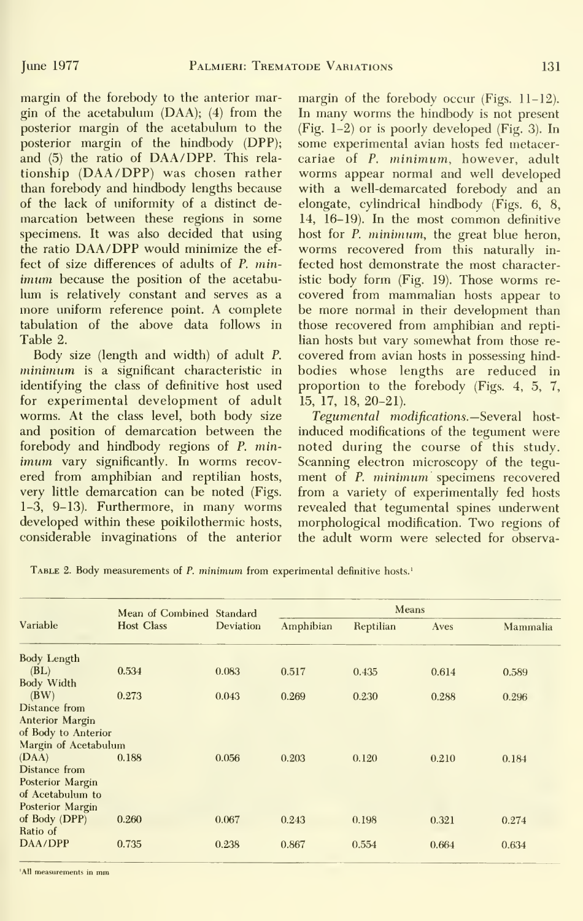margin of the forebody to the anterior margin of the acetabulum  $(DAA)$ ; (4) from the posterior margin of the acetabuhim to the posterior margin of the hindbody (DPP); and (5) the ratio of DAA/DPP. This rela tionship (DAA/DPP) was chosen rather than forebody and hindbody lengths because of the lack of uniformity of a distinct de marcation between these regions in some specimens. It was also decided that using the ratio DAA/DPP would minimize the ef fect of size differences of adults of P. minimum because the position of the acetabulum is relatively constant and serves as a more uniform reference point. A complete tabulation of the above data follows in Table 2.

Body size (length and width) of adult P. minimum is a significant characteristic in identifying the class of definitive host used for experimental development of adult worms. At the class level, both body size and position of demarcation between the forebody and hindbody regions of P. min imum vary significantly. In worms recovered from amphibian and reptilian hosts, very little demarcation can be noted (Figs. 1-3, 9-13). Furthermore, in many worms developed within these poikilothermic hosts, considerable invaginations of the anterior margin of the forebody occur (Figs. 11-12). In many worms the hindbody is not present (Fig. 1-2) or is poorly developed (Fig. 3). In some experimental avian hosts fed metacercariae of P. minimum, however, adult worms appear normal and well developed with a well-demarcated forebody and an elongate, cylindrical hindbody (Figs. 6, 8, 14, 16-19). In the most common definitive host for P. minimum, the great blue heron, worms recovered from this naturally in fected host demonstrate the most characteristic body form (Fig. 19). Those worms re covered from mammalian hosts appear to be more normal in their development than those recovered from amphibian and reptilian hosts but vary somewhat from those re covered from avian hosts in possessing hind bodies whose lengths are reduced in proportion to the forebody (Figs. 4, 5, 7, 15, 17, 18, 20-21).

Tegumental modifications.—Several hostinduced modifications of the tegument were noted during the course of this study. Scanning electron microscopy of the tegu ment of P. minimum specimens recovered from a variety of experimentally fed hosts revealed that tegumental spines underwent morphological modification. Two regions of the adult worm were selected for observa-

Table 2. Body measurements of P. minimum from experimental definitive hosts.'

| Variable               | Mean of Combined Standard | Deviation | Means     |           |       |          |  |
|------------------------|---------------------------|-----------|-----------|-----------|-------|----------|--|
|                        | <b>Host Class</b>         |           | Amphibian | Reptilian | Aves  | Mammalia |  |
| <b>Body Length</b>     |                           |           |           |           |       |          |  |
| (BL)                   | 0.534                     | 0.083     | 0.517     | 0.435     | 0.614 | 0.589    |  |
| <b>Body Width</b>      |                           |           |           |           |       |          |  |
| (BW)                   | 0.273                     | 0.043     | 0.269     | 0.230     | 0.288 | 0.296    |  |
| Distance from          |                           |           |           |           |       |          |  |
| <b>Anterior Margin</b> |                           |           |           |           |       |          |  |
| of Body to Anterior    |                           |           |           |           |       |          |  |
| Margin of Acetabulum   |                           |           |           |           |       |          |  |
| (DAA)                  | 0.188                     | 0.056     | 0.203     | 0.120     | 0.210 | 0.184    |  |
| Distance from          |                           |           |           |           |       |          |  |
| Posterior Margin       |                           |           |           |           |       |          |  |
| of Acetabulum to       |                           |           |           |           |       |          |  |
| Posterior Margin       |                           |           |           |           |       |          |  |
| of Body (DPP)          | 0.260                     | 0.067     | 0.243     | 0.198     | 0.321 | 0.274    |  |
| Ratio of               |                           |           |           |           |       |          |  |
| DAA/DPP                | 0.735                     | 0.238     | 0.867     | 0.554     | 0.664 | 0.634    |  |

'All measurements in mm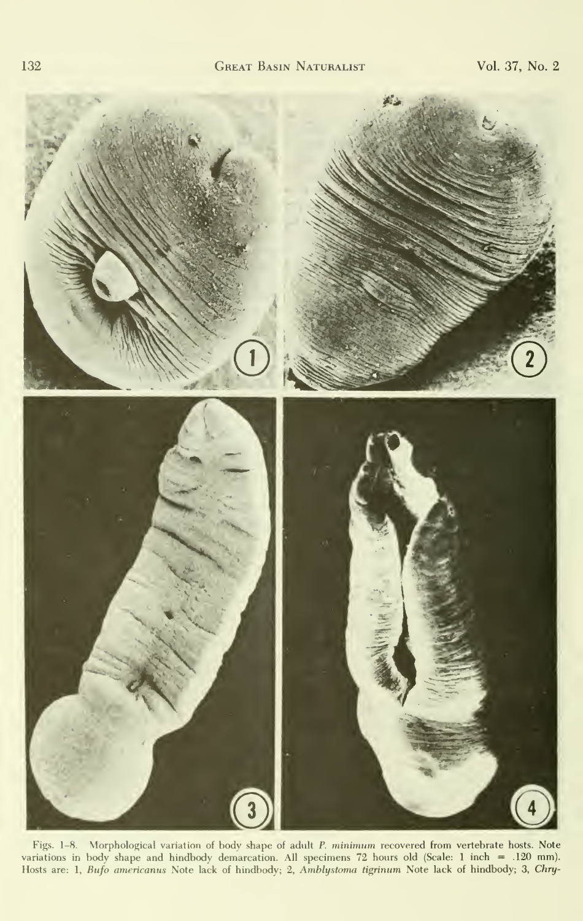

Figs. 1–8. Morphological variation of body shape of adult P. minimum recovered from vertebrate hosts. Note<br>variations in body shape and hindbody demarcation. All specimens 72 hours old (Scale: 1 inch = 120 mm).<br>Hosts are: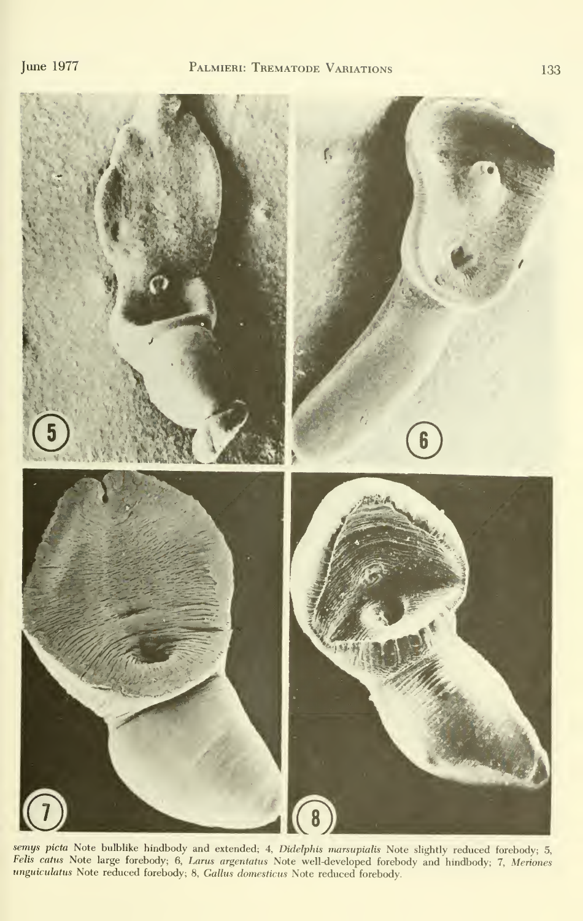

semys picta Note bulblike hindbody and extended; 4, *Didelphis marsupialis* Note slightly reduced forebody; 5,<br>Felis catus Note large forebody; 6, Larus argentatus Note well-developed forebody and hindbody; 7, *Meriones*<br>u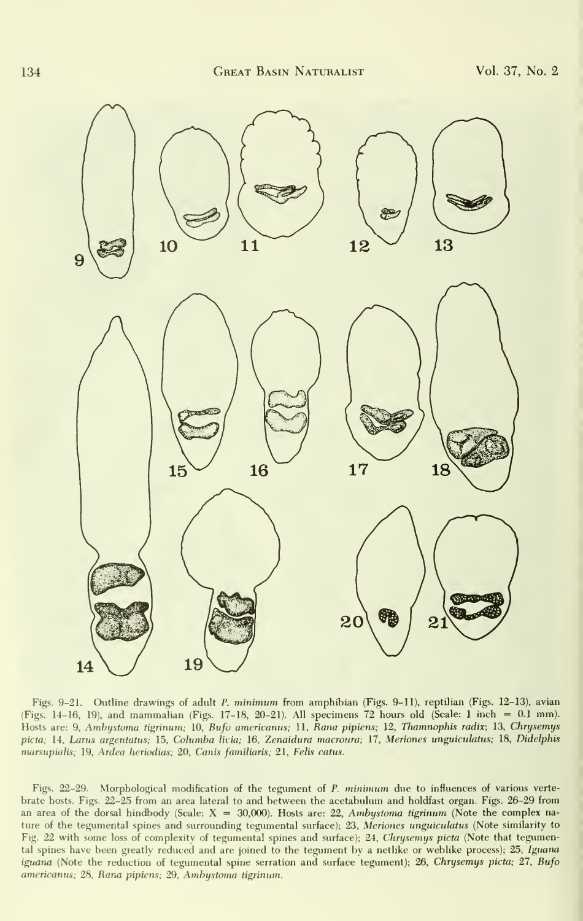

Figs. 9-21. Outline drawings of adult P. minimum from amphibian (Figs. 9-11), reptilian (Figs. 12-13), avian (Figs. 14-16, 19), and mammalian (Figs. 17-18, 20-21). All specimens 72 hours old (Scale: 1 inch =  $0.1 \text{ mm}$ ). Hosts are: 9, Amhystoma tigrinum; 10, Bufo americanus; 11, Rana pipiens; 12, Thamnophis radix, 13, Chrysemys picta; 14, Lartis argentatus; 15, Columha livia; 16, Zenaidura macroura; 17, Meriones unguiculatus; 18, Didelphis marsupialis; 19, Ardea heriodias; 20, Cants familiaris; 21, Felis catus.

Figs. 22-29. Morphological modification of the tegument of P. minimum due to influences of various vertebrate hosts. Figs. 22-25 from an area lateral to and between the acetabulum and holdfast organ. Figs. 26-29 from an area of the dorsal hindbody (Scale:  $X = 30,000$ ). Hosts are: 22, Ambystoma tigrinum (Note the complex nature of the tegumental spines and surrounding tegumental surface); 23, Meriones unguiculatus (Note similarity to Fig. 22 with some loss of complexity of tegumental spines and surface); 24, Chrysemys picta (Note that tegumental spines have been greatly reduced and are joined to the tegument by a netlike or weblike process); 25, Iguana iguana (Note the reduction of tegumental spine serration and surface tegument); 26, Chrysemys picta; 27, Bufo americanus; 28, Rana pipiens; 29, Ambustoma tigrinum.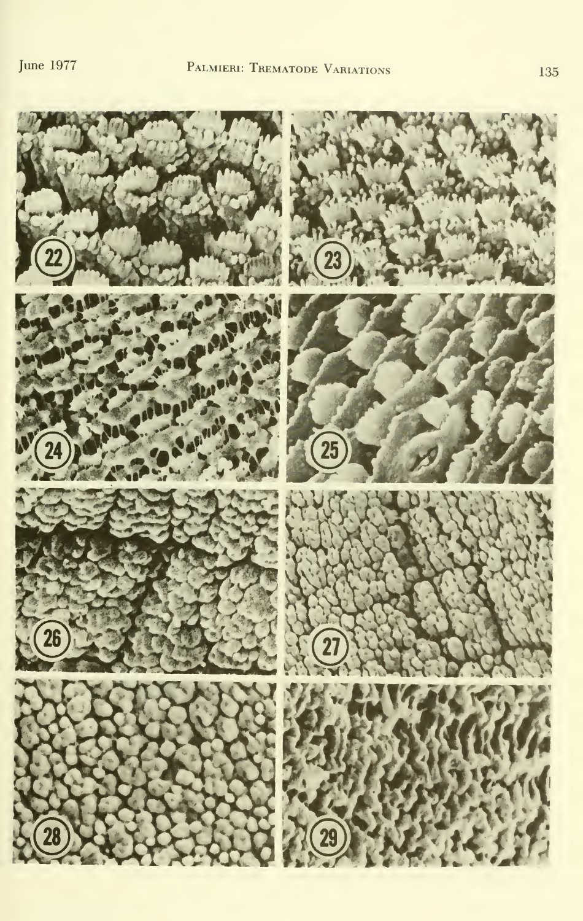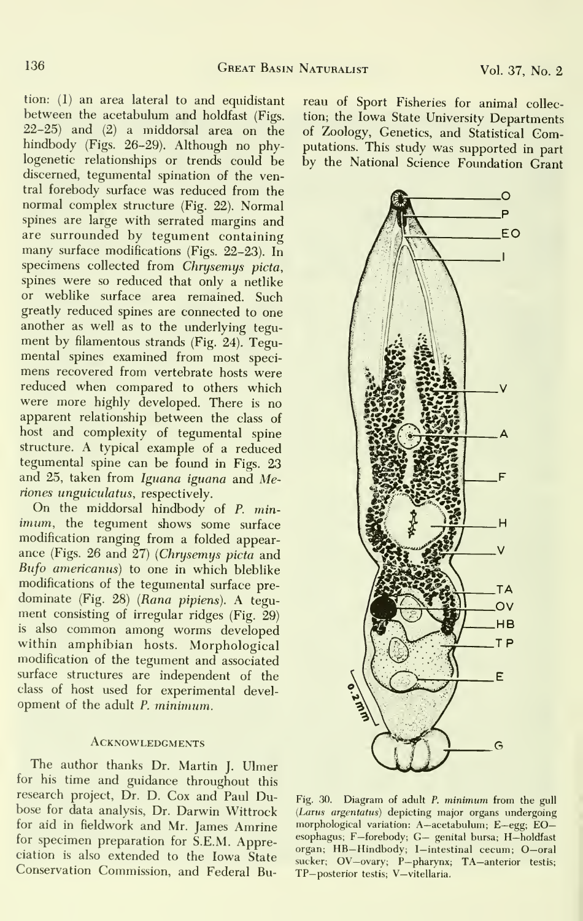tion: (1) an area lateral to and equidistant between the acetabulum and holdfast (Figs. 22-25) and (2) a middorsal area on the hindbody (Figs. 26-29). Although no phylogenetic relationships or trends could be discerned, tegumental spination of the ventral forebody surface was reduced from the normal complex structure (Fig. 22). Normal spines are large with serrated margins and are surrounded by tegument containing many surface modifications (Figs. 22-23). In specimens collected from Chrysemys picta, spines were so reduced that only a netlike or weblike surface area remained. Such greatly reduced spines are connected to one another as well as to the underlying tegu ment by filamentous strands (Fig. 24). Tegumental spines examined from most speci mens recovered from vertebrate hosts were reduced when compared to others which were more highly developed. There is no apparent relationship between the class of host and complexity of tegumental spine structure. A typical example of <sup>a</sup> reduced tegumental spine can be found in Figs. 23 and 25, taken from Iguana iguana and Meriones unguiculatus, respectively.

On the middorsal hindbody of P. min imum, the tegument shows some surface modification ranging from a folded appear ance (Figs. 26 and 27) {Chrysemys picta and Bufo americanus) to one in which bleblike modifications of the tegumental surface pre dominate (Fig. 28) (Rana pipiens). A tegument consisting of irregular ridges (Fig. 29) is also common among worms developed within amphibian hosts. Morphological modification of the tegument and associated surface structures are independent of the class of host used for experimental devel opment of the adult P. minimum.

#### **ACKNOWLEDGMENTS**

The author thanks Dr. Martin J. Ulmer for his time and guidance throughout this research project. Dr. D. Cox and Paul Dubose for data analysis. Dr. Darwin Wittrock for aid in fieldwork and Mr. James Amrine for specimen preparation for S.E.M. Appreciation is also extended to the Iowa State Conservation Commission, and Federal Bu-

reau of Sport Fisheries for animal collection; the Iowa State University Departments of Zoology, Genetics, and Statistical Computations. This study was supported in part by the National Science Foundation Grant



Fig. 30. Diagram of adult P. minimum from the gull (Larus argentatus) depicting major organs undergoing morphological variation: A—acetabulum; E—egg; EO esophagus; F—forebody; G— genital bursa; H—holdfast organ; HB—Hindbody; I— intestinal cecum; O—oral sucker; OV—ovary; P—pharynx; TA—anterior testis; TP—posterior testis; V—vitellaria.